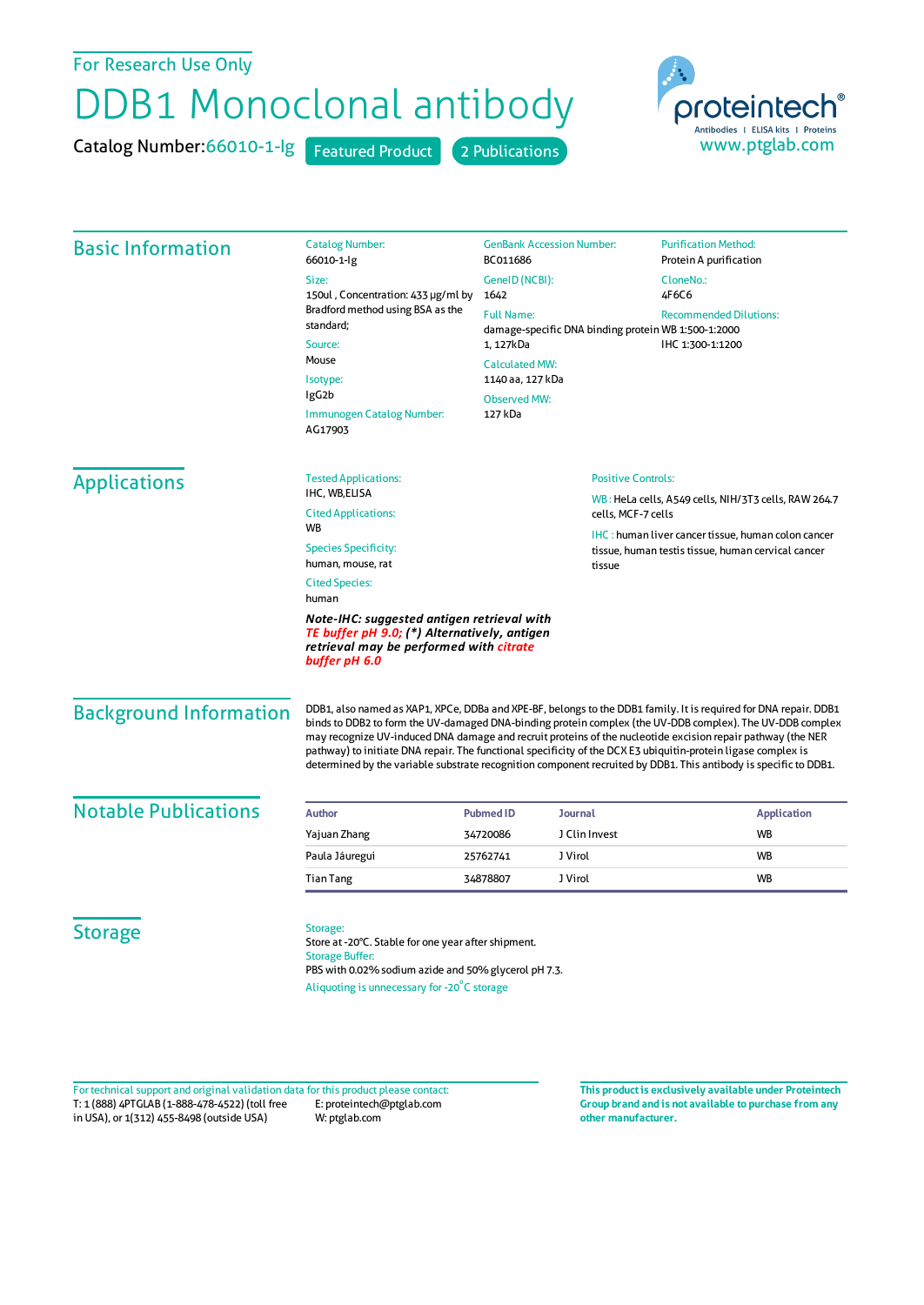## For Research Use Only

## DDB1 Monoclonal antibody

Catalog Number: 66010-1-lg Featured Product 2 Publications



| <b>Basic Information</b>                                                                                                                               | <b>Catalog Number:</b><br>66010-1-lg                                                                                                                                                                                                                                                                                                                                                                                                                                                                                                                                              | <b>GenBank Accession Number:</b><br>BC011686                                                                                               |                                                                                                                 | <b>Purification Method:</b><br>Protein A purification |                       |
|--------------------------------------------------------------------------------------------------------------------------------------------------------|-----------------------------------------------------------------------------------------------------------------------------------------------------------------------------------------------------------------------------------------------------------------------------------------------------------------------------------------------------------------------------------------------------------------------------------------------------------------------------------------------------------------------------------------------------------------------------------|--------------------------------------------------------------------------------------------------------------------------------------------|-----------------------------------------------------------------------------------------------------------------|-------------------------------------------------------|-----------------------|
|                                                                                                                                                        | Size:<br>150ul, Concentration: 433 µg/ml by<br>Bradford method using BSA as the<br>standard;<br>Source:<br>Mouse<br>Isotype:<br>IgG <sub>2</sub> b<br>Immunogen Catalog Number:<br>AG17903                                                                                                                                                                                                                                                                                                                                                                                        | GeneID (NCBI):                                                                                                                             |                                                                                                                 | CloneNo.:                                             |                       |
|                                                                                                                                                        |                                                                                                                                                                                                                                                                                                                                                                                                                                                                                                                                                                                   | 1642                                                                                                                                       |                                                                                                                 | 4F6C6                                                 |                       |
|                                                                                                                                                        |                                                                                                                                                                                                                                                                                                                                                                                                                                                                                                                                                                                   | <b>Full Name:</b><br><b>Recommended Dilutions:</b><br>damage-specific DNA binding protein WB 1:500-1:2000<br>1, 127kDa<br>IHC 1:300-1:1200 |                                                                                                                 |                                                       |                       |
|                                                                                                                                                        |                                                                                                                                                                                                                                                                                                                                                                                                                                                                                                                                                                                   |                                                                                                                                            |                                                                                                                 |                                                       | <b>Calculated MW:</b> |
|                                                                                                                                                        |                                                                                                                                                                                                                                                                                                                                                                                                                                                                                                                                                                                   | 1140 aa, 127 kDa                                                                                                                           |                                                                                                                 |                                                       |                       |
|                                                                                                                                                        |                                                                                                                                                                                                                                                                                                                                                                                                                                                                                                                                                                                   | <b>Observed MW:</b>                                                                                                                        |                                                                                                                 |                                                       |                       |
|                                                                                                                                                        |                                                                                                                                                                                                                                                                                                                                                                                                                                                                                                                                                                                   | 127 kDa                                                                                                                                    |                                                                                                                 |                                                       |                       |
|                                                                                                                                                        |                                                                                                                                                                                                                                                                                                                                                                                                                                                                                                                                                                                   | <b>Applications</b>                                                                                                                        | <b>Tested Applications:</b>                                                                                     | <b>Positive Controls:</b>                             |                       |
| IHC, WB,ELISA                                                                                                                                          |                                                                                                                                                                                                                                                                                                                                                                                                                                                                                                                                                                                   |                                                                                                                                            | WB: HeLa cells, A549 cells, NIH/3T3 cells, RAW 264.7<br>cells, MCF-7 cells                                      |                                                       |                       |
| <b>Cited Applications:</b><br><b>WB</b>                                                                                                                |                                                                                                                                                                                                                                                                                                                                                                                                                                                                                                                                                                                   |                                                                                                                                            |                                                                                                                 |                                                       |                       |
| <b>Species Specificity:</b>                                                                                                                            |                                                                                                                                                                                                                                                                                                                                                                                                                                                                                                                                                                                   |                                                                                                                                            | <b>IHC:</b> human liver cancer tissue, human colon cancer<br>tissue, human testis tissue, human cervical cancer |                                                       |                       |
| human, mouse, rat                                                                                                                                      | tissue                                                                                                                                                                                                                                                                                                                                                                                                                                                                                                                                                                            |                                                                                                                                            |                                                                                                                 |                                                       |                       |
| <b>Cited Species:</b><br>human                                                                                                                         |                                                                                                                                                                                                                                                                                                                                                                                                                                                                                                                                                                                   |                                                                                                                                            |                                                                                                                 |                                                       |                       |
| Note-IHC: suggested antigen retrieval with<br>TE buffer pH 9.0; (*) Alternatively, antigen<br>retrieval may be performed with citrate<br>buffer pH 6.0 |                                                                                                                                                                                                                                                                                                                                                                                                                                                                                                                                                                                   |                                                                                                                                            |                                                                                                                 |                                                       |                       |
| <b>Background Information</b>                                                                                                                          | DDB1, also named as XAP1, XPCe, DDBa and XPE-BF, belongs to the DDB1 family. It is required for DNA repair. DDB1<br>binds to DDB2 to form the UV-damaged DNA-binding protein complex (the UV-DDB complex). The UV-DDB complex<br>may recognize UV-induced DNA damage and recruit proteins of the nucleotide excision repair pathway (the NER<br>pathway) to initiate DNA repair. The functional specificity of the DCX E3 ubiquitin-protein ligase complex is<br>determined by the variable substrate recognition component recruited by DDB1. This antibody is specific to DDB1. |                                                                                                                                            |                                                                                                                 |                                                       |                       |
| <b>Notable Publications</b>                                                                                                                            | <b>Author</b>                                                                                                                                                                                                                                                                                                                                                                                                                                                                                                                                                                     | <b>Pubmed ID</b><br>Journal                                                                                                                |                                                                                                                 | <b>Application</b>                                    |                       |
|                                                                                                                                                        |                                                                                                                                                                                                                                                                                                                                                                                                                                                                                                                                                                                   | J Clin Invest<br>34720086                                                                                                                  |                                                                                                                 |                                                       |                       |
|                                                                                                                                                        | Yajuan Zhang                                                                                                                                                                                                                                                                                                                                                                                                                                                                                                                                                                      |                                                                                                                                            |                                                                                                                 | <b>WB</b>                                             |                       |
|                                                                                                                                                        | Paula Jáuregui                                                                                                                                                                                                                                                                                                                                                                                                                                                                                                                                                                    | J Virol<br>25762741                                                                                                                        |                                                                                                                 | WB                                                    |                       |
|                                                                                                                                                        | <b>Tian Tang</b>                                                                                                                                                                                                                                                                                                                                                                                                                                                                                                                                                                  | J Virol<br>34878807                                                                                                                        |                                                                                                                 | <b>WB</b>                                             |                       |

T: 1 (888) 4PTGLAB (1-888-478-4522) (toll free in USA), or 1(312) 455-8498 (outside USA) E: proteintech@ptglab.com W: ptglab.com Fortechnical support and original validation data forthis product please contact: **This productis exclusively available under Proteintech**

**Group brand and is not available to purchase from any other manufacturer.**